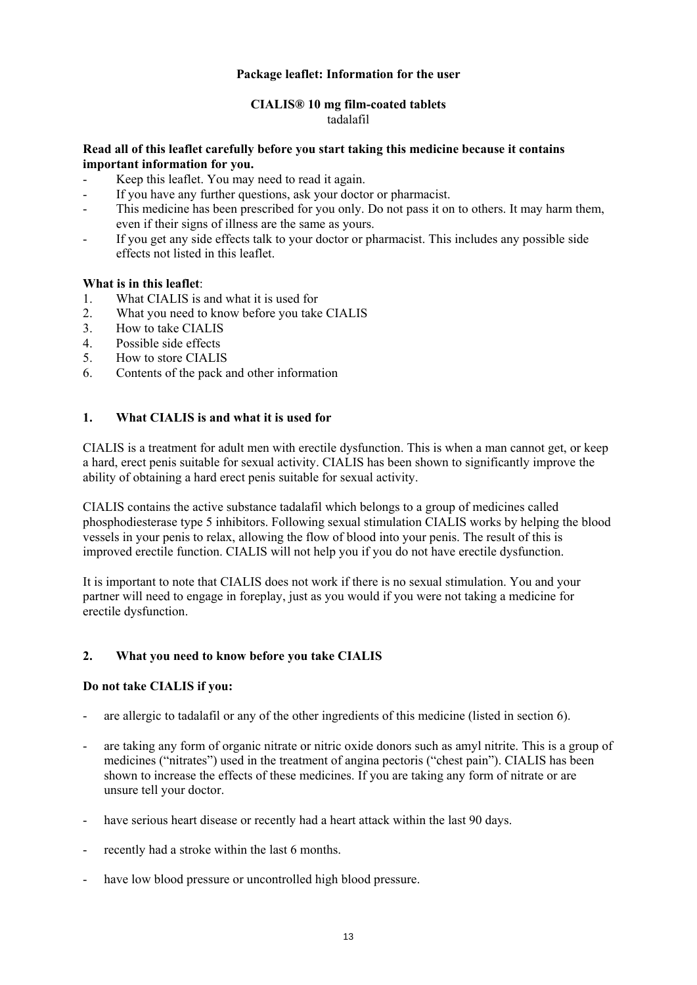## **Package leaflet: Information for the user**

# **CIALIS® 10 mg film-coated tablets**

# tadalafil

## **Read all of this leaflet carefully before you start taking this medicine because it contains important information for you.**

- Keep this leaflet. You may need to read it again.
- If you have any further questions, ask your doctor or pharmacist.
- This medicine has been prescribed for you only. Do not pass it on to others. It may harm them, even if their signs of illness are the same as yours.
- If you get any side effects talk to your doctor or pharmacist. This includes any possible side effects not listed in this leaflet.

## **What is in this leaflet**:

- 1. What CIALIS is and what it is used for
- 2. What you need to know before you take CIALIS
- 3. How to take CIALIS
- 4. Possible side effects
- 5. How to store CIALIS
- 6. Contents of the pack and other information

## **1. What CIALIS is and what it is used for**

CIALIS is a treatment for adult men with erectile dysfunction. This is when a man cannot get, or keep a hard, erect penis suitable for sexual activity. CIALIS has been shown to significantly improve the ability of obtaining a hard erect penis suitable for sexual activity.

CIALIS contains the active substance tadalafil which belongs to a group of medicines called phosphodiesterase type 5 inhibitors. Following sexual stimulation CIALIS works by helping the blood vessels in your penis to relax, allowing the flow of blood into your penis. The result of this is improved erectile function. CIALIS will not help you if you do not have erectile dysfunction.

It is important to note that CIALIS does not work if there is no sexual stimulation. You and your partner will need to engage in foreplay, just as you would if you were not taking a medicine for erectile dysfunction.

## **2. What you need to know before you take CIALIS**

## **Do not take CIALIS if you:**

- are allergic to tadalafil or any of the other ingredients of this medicine (listed in section 6).
- are taking any form of organic nitrate or nitric oxide donors such as amyl nitrite. This is a group of medicines ("nitrates") used in the treatment of angina pectoris ("chest pain"). CIALIS has been shown to increase the effects of these medicines. If you are taking any form of nitrate or are unsure tell your doctor.
- have serious heart disease or recently had a heart attack within the last 90 days.
- recently had a stroke within the last 6 months.
- have low blood pressure or uncontrolled high blood pressure.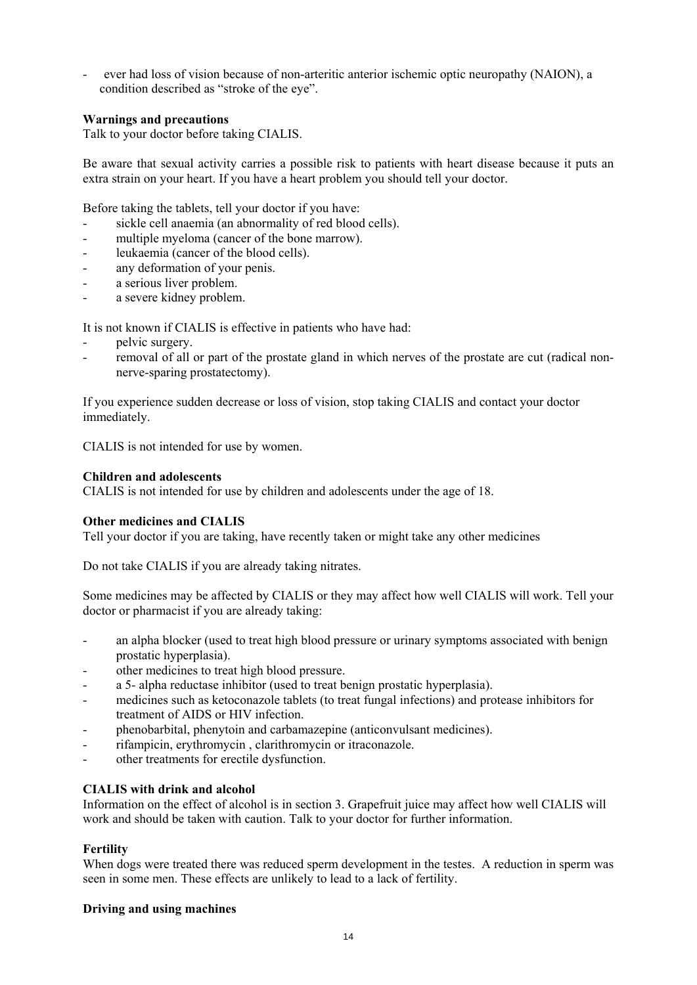- ever had loss of vision because of non-arteritic anterior ischemic optic neuropathy (NAION), a condition described as "stroke of the eye".

## **Warnings and precautions**

Talk to your doctor before taking CIALIS.

Be aware that sexual activity carries a possible risk to patients with heart disease because it puts an extra strain on your heart. If you have a heart problem you should tell your doctor.

Before taking the tablets, tell your doctor if you have:

- sickle cell anaemia (an abnormality of red blood cells).
- multiple myeloma (cancer of the bone marrow).
- leukaemia (cancer of the blood cells).
- any deformation of your penis.
- a serious liver problem.
- a severe kidney problem.

It is not known if CIALIS is effective in patients who have had:

- pelvic surgery.
- removal of all or part of the prostate gland in which nerves of the prostate are cut (radical nonnerve-sparing prostatectomy).

If you experience sudden decrease or loss of vision, stop taking CIALIS and contact your doctor immediately.

CIALIS is not intended for use by women.

## **Children and adolescents**

CIALIS is not intended for use by children and adolescents under the age of 18.

## **Other medicines and CIALIS**

Tell your doctor if you are taking, have recently taken or might take any other medicines

Do not take CIALIS if you are already taking nitrates.

Some medicines may be affected by CIALIS or they may affect how well CIALIS will work. Tell your doctor or pharmacist if you are already taking:

- an alpha blocker (used to treat high blood pressure or urinary symptoms associated with benign prostatic hyperplasia).
- other medicines to treat high blood pressure.
- a 5- alpha reductase inhibitor (used to treat benign prostatic hyperplasia).
- medicines such as ketoconazole tablets (to treat fungal infections) and protease inhibitors for treatment of AIDS or HIV infection.
- phenobarbital, phenytoin and carbamazepine (anticonvulsant medicines).
- rifampicin, erythromycin, clarithromycin or itraconazole.
- other treatments for erectile dysfunction.

# **CIALIS with drink and alcohol**

Information on the effect of alcohol is in section 3. Grapefruit juice may affect how well CIALIS will work and should be taken with caution. Talk to your doctor for further information.

## **Fertility**

When dogs were treated there was reduced sperm development in the testes. A reduction in sperm was seen in some men. These effects are unlikely to lead to a lack of fertility.

## **Driving and using machines**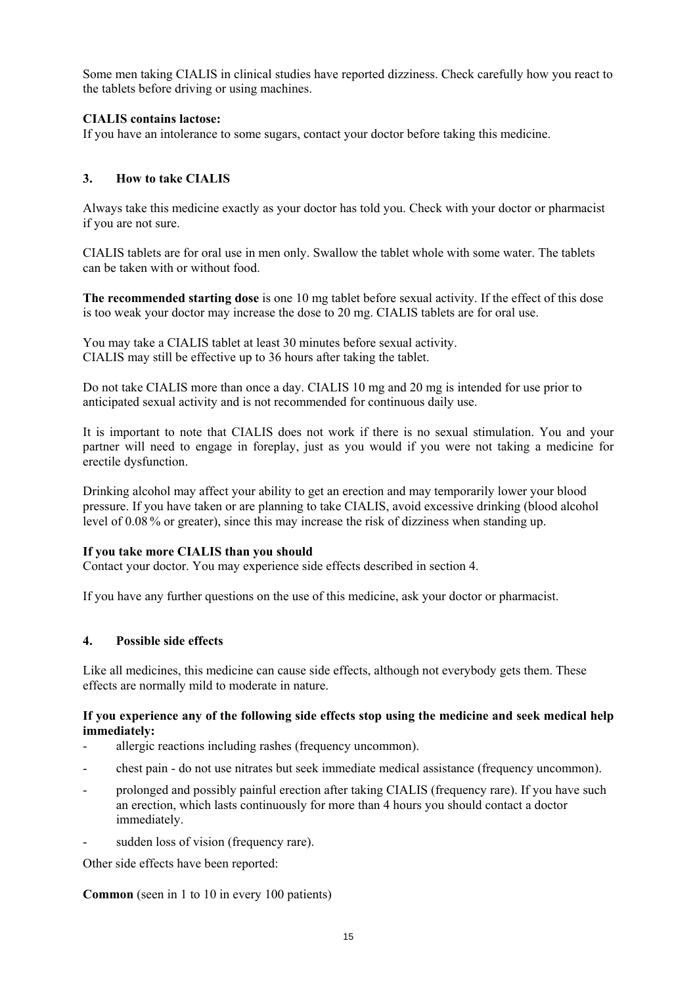Some men taking CIALIS in clinical studies have reported dizziness. Check carefully how you react to the tablets before driving or using machines.

## **CIALIS contains lactose:**

If you have an intolerance to some sugars, contact your doctor before taking this medicine.

## **3. How to take CIALIS**

Always take this medicine exactly as your doctor has told you. Check with your doctor or pharmacist if you are not sure.

CIALIS tablets are for oral use in men only. Swallow the tablet whole with some water. The tablets can be taken with or without food.

**The recommended starting dose** is one 10 mg tablet before sexual activity. If the effect of this dose is too weak your doctor may increase the dose to 20 mg. CIALIS tablets are for oral use.

You may take a CIALIS tablet at least 30 minutes before sexual activity. CIALIS may still be effective up to 36 hours after taking the tablet.

Do not take CIALIS more than once a day. CIALIS 10 mg and 20 mg is intended for use prior to anticipated sexual activity and is not recommended for continuous daily use.

It is important to note that CIALIS does not work if there is no sexual stimulation. You and your partner will need to engage in foreplay, just as you would if you were not taking a medicine for erectile dysfunction.

Drinking alcohol may affect your ability to get an erection and may temporarily lower your blood pressure. If you have taken or are planning to take CIALIS, avoid excessive drinking (blood alcohol level of 0.08 % or greater), since this may increase the risk of dizziness when standing up.

## **If you take more CIALIS than you should**

Contact your doctor. You may experience side effects described in section 4.

If you have any further questions on the use of this medicine, ask your doctor or pharmacist.

## **4. Possible side effects**

Like all medicines, this medicine can cause side effects, although not everybody gets them. These effects are normally mild to moderate in nature.

## **If you experience any of the following side effects stop using the medicine and seek medical help immediately:**

- allergic reactions including rashes (frequency uncommon).
- chest pain do not use nitrates but seek immediate medical assistance (frequency uncommon).
- prolonged and possibly painful erection after taking CIALIS (frequency rare). If you have such an erection, which lasts continuously for more than 4 hours you should contact a doctor immediately.
- sudden loss of vision (frequency rare).

Other side effects have been reported:

**Common** (seen in 1 to 10 in every 100 patients)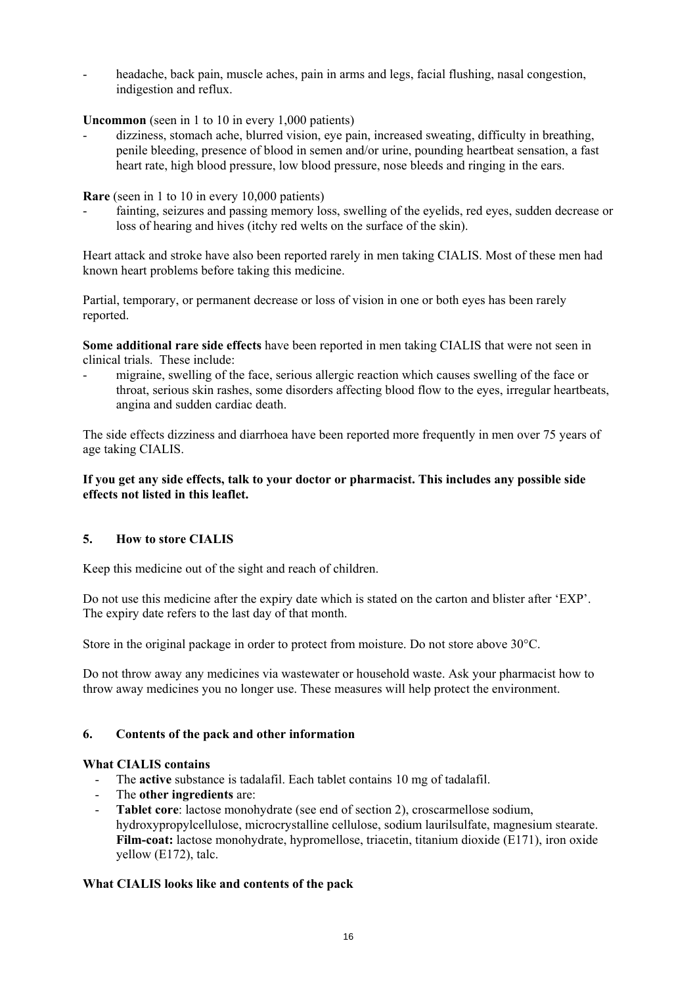headache, back pain, muscle aches, pain in arms and legs, facial flushing, nasal congestion, indigestion and reflux.

**Uncommon** (seen in 1 to 10 in every 1,000 patients)

- dizziness, stomach ache, blurred vision, eye pain, increased sweating, difficulty in breathing, penile bleeding, presence of blood in semen and/or urine, pounding heartbeat sensation, a fast heart rate, high blood pressure, low blood pressure, nose bleeds and ringing in the ears.

**Rare** (seen in 1 to 10 in every 10,000 patients)

fainting, seizures and passing memory loss, swelling of the eyelids, red eyes, sudden decrease or loss of hearing and hives (itchy red welts on the surface of the skin).

Heart attack and stroke have also been reported rarely in men taking CIALIS. Most of these men had known heart problems before taking this medicine.

Partial, temporary, or permanent decrease or loss of vision in one or both eyes has been rarely reported.

**Some additional rare side effects** have been reported in men taking CIALIS that were not seen in clinical trials. These include:

- migraine, swelling of the face, serious allergic reaction which causes swelling of the face or throat, serious skin rashes, some disorders affecting blood flow to the eyes, irregular heartbeats, angina and sudden cardiac death.

The side effects dizziness and diarrhoea have been reported more frequently in men over 75 years of age taking CIALIS.

## **If you get any side effects, talk to your doctor or pharmacist. This includes any possible side effects not listed in this leaflet.**

# **5. How to store CIALIS**

Keep this medicine out of the sight and reach of children.

Do not use this medicine after the expiry date which is stated on the carton and blister after 'EXP'. The expiry date refers to the last day of that month.

Store in the original package in order to protect from moisture. Do not store above 30 °C.

Do not throw away any medicines via wastewater or household waste. Ask your pharmacist how to throw away medicines you no longer use. These measures will help protect the environment.

# **6. Contents of the pack and other information**

## **What CIALIS contains**

- The **active** substance is tadalafil. Each tablet contains 10 mg of tadalafil.
- The **other ingredients** are:
- **Tablet core**: lactose monohydrate (see end of section 2), croscarmellose sodium, hydroxypropylcellulose, microcrystalline cellulose, sodium laurilsulfate, magnesium stearate. **Film-coat:** lactose monohydrate, hypromellose, triacetin, titanium dioxide (E171), iron oxide yellow (E172), talc.

# **What CIALIS looks like and contents of the pack**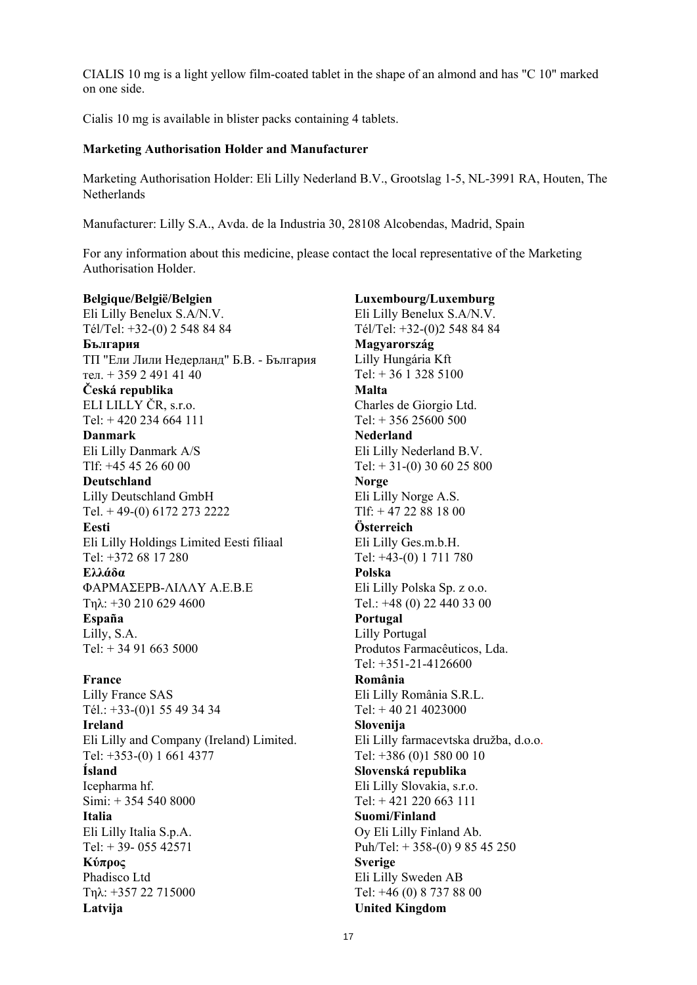CIALIS 10 mg is a light yellow film-coated tablet in the shape of an almond and has "C 10" marked on one side.

Cialis 10 mg is available in blister packs containing 4 tablets.

## **Marketing Authorisation Holder and Manufacturer**

Marketing Authorisation Holder: Eli Lilly Nederland B.V., Grootslag 1-5, NL-3991 RA, Houten, The **Netherlands** 

Manufacturer: Lilly S.A., Avda. de la Industria 30, 28108 Alcobendas, Madrid, Spain

For any information about this medicine, please contact the local representative of the Marketing Authorisation Holder.

**Belgique/België/Belgien** Eli Lilly Benelux S.A/N.V. Tél/Tel: +32-(0) 2 548 84 84 **България** ТП "Ели Лили Недерланд" Б.В. - България тел. + 359 2 491 41 40 **Česká republika** ELI LILLY ČR, s.r.o. Tel: + 420 234 664 111 **Danmark** Eli Lilly Danmark A/S Tlf: +45 45 26 60 00 **Deutschland** Lilly Deutschland GmbH Tel. + 49-(0) 6172 273 2222 **Eesti**  Eli Lilly Holdings Limited Eesti filiaal Tel: +372 68 17 280 **Ελλάδα** ΦΑΡΜΑΣΕΡΒ-ΛΙΛΛΥ Α.Ε.Β.Ε Τηλ: +30 210 629 4600 **España**  Lilly, S.A. Tel:  $+ 34916635000$ **France**  Lilly France SAS Tél.: +33-(0)1 55 49 34 34 **Ireland** Eli Lilly and Company (Ireland) Limited. Tel: +353-(0) 1 661 4377 **Ísland**  Icepharma hf. Simi: + 354 540 8000 **Italia** Eli Lilly Italia S.p.A. Tel:  $+ 39 - 05542571$ **Κύπρος** Phadisco Ltd Τηλ: +357 22 715000 Latvija **United Kingdom** 

**Luxembourg/Luxemburg** Eli Lilly Benelux S.A/N.V. Tél/Tel: +32-(0)2 548 84 84 **Magyarország**  Lilly Hungária Kft Tel: + 36 1 328 5100 **Malta**  Charles de Giorgio Ltd. Tel: + 356 25600 500 **Nederland** Eli Lilly Nederland B.V. Tel:  $+ 31-(0)$  30 60 25 800 **Norge** Eli Lilly Norge A.S. Tlf: + 47 22 88 18 00 **Österreich** Eli Lilly Ges.m.b.H. Tel: +43-(0) 1 711 780 **Polska**  Eli Lilly Polska Sp. z o.o. Tel.: +48 (0) 22 440 33 00 **Portugal** Lilly Portugal Produtos Farmacêuticos, Lda. Tel: +351-21-4126600 **România**  Eli Lilly România S.R.L. Tel: + 40 21 4023000 **Slovenija** Eli Lilly farmacevtska družba, d.o.o. Tel: +386 (0)1 580 00 10 **Slovenská republika**  Eli Lilly Slovakia, s.r.o.  $Tel + 421 220 663 111$ **Suomi/Finland** Oy Eli Lilly Finland Ab. Puh/Tel: + 358-(0) 9 85 45 250 **Sverige**  Eli Lilly Sweden AB Tel: +46 (0) 8 737 88 00